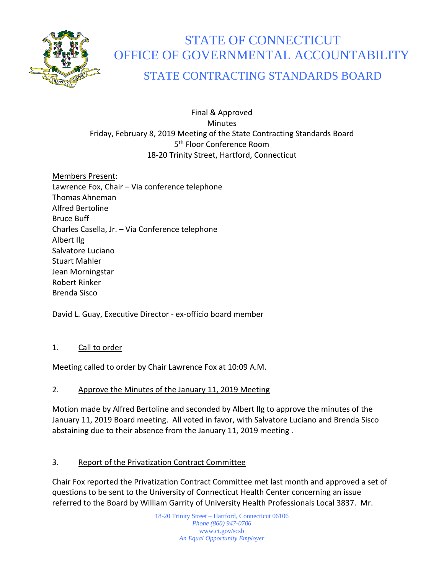

# STATE OF CONNECTICUT OFFICE OF GOVERNMENTAL ACCOUNTABILITY

# STATE CONTRACTING STANDARDS BOARD

#### Final & Approved **Minutes** Friday, February 8, 2019 Meeting of the State Contracting Standards Board 5<sup>th</sup> Floor Conference Room 18-20 Trinity Street, Hartford, Connecticut

Members Present: Lawrence Fox, Chair – Via conference telephone Thomas Ahneman Alfred Bertoline Bruce Buff Charles Casella, Jr. – Via Conference telephone Albert Ilg Salvatore Luciano Stuart Mahler Jean Morningstar Robert Rinker Brenda Sisco

David L. Guay, Executive Director - ex-officio board member

# 1. Call to order

Meeting called to order by Chair Lawrence Fox at 10:09 A.M.

# 2. Approve the Minutes of the January 11, 2019 Meeting

Motion made by Alfred Bertoline and seconded by Albert Ilg to approve the minutes of the January 11, 2019 Board meeting. All voted in favor, with Salvatore Luciano and Brenda Sisco abstaining due to their absence from the January 11, 2019 meeting .

# 3. Report of the Privatization Contract Committee

Chair Fox reported the Privatization Contract Committee met last month and approved a set of questions to be sent to the University of Connecticut Health Center concerning an issue referred to the Board by William Garrity of University Health Professionals Local 3837. Mr.

> 18-20 Trinity Street – Hartford, Connecticut 06106 *Phone (860) 947-0706*  www.ct.gov/scsb *An Equal Opportunity Employer*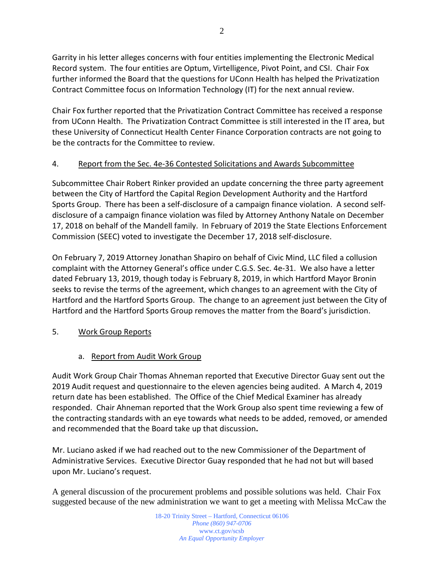Garrity in his letter alleges concerns with four entities implementing the Electronic Medical Record system. The four entities are Optum, Virtelligence, Pivot Point, and CSI. Chair Fox further informed the Board that the questions for UConn Health has helped the Privatization Contract Committee focus on Information Technology (IT) for the next annual review.

Chair Fox further reported that the Privatization Contract Committee has received a response from UConn Health. The Privatization Contract Committee is still interested in the IT area, but these University of Connecticut Health Center Finance Corporation contracts are not going to be the contracts for the Committee to review.

# 4. Report from the Sec. 4e-36 Contested Solicitations and Awards Subcommittee

Subcommittee Chair Robert Rinker provided an update concerning the three party agreement between the City of Hartford the Capital Region Development Authority and the Hartford Sports Group. There has been a self-disclosure of a campaign finance violation. A second selfdisclosure of a campaign finance violation was filed by Attorney Anthony Natale on December 17, 2018 on behalf of the Mandell family. In February of 2019 the State Elections Enforcement Commission (SEEC) voted to investigate the December 17, 2018 self-disclosure.

On February 7, 2019 Attorney Jonathan Shapiro on behalf of Civic Mind, LLC filed a collusion complaint with the Attorney General's office under C.G.S. Sec. 4e-31. We also have a letter dated February 13, 2019, though today is February 8, 2019, in which Hartford Mayor Bronin seeks to revise the terms of the agreement, which changes to an agreement with the City of Hartford and the Hartford Sports Group. The change to an agreement just between the City of Hartford and the Hartford Sports Group removes the matter from the Board's jurisdiction.

#### 5. Work Group Reports

#### a. Report from Audit Work Group

Audit Work Group Chair Thomas Ahneman reported that Executive Director Guay sent out the 2019 Audit request and questionnaire to the eleven agencies being audited. A March 4, 2019 return date has been established. The Office of the Chief Medical Examiner has already responded. Chair Ahneman reported that the Work Group also spent time reviewing a few of the contracting standards with an eye towards what needs to be added, removed, or amended and recommended that the Board take up that discussion**.**

Mr. Luciano asked if we had reached out to the new Commissioner of the Department of Administrative Services. Executive Director Guay responded that he had not but will based upon Mr. Luciano's request.

A general discussion of the procurement problems and possible solutions was held. Chair Fox suggested because of the new administration we want to get a meeting with Melissa McCaw the

> 18-20 Trinity Street – Hartford, Connecticut 06106 *Phone (860) 947-0706*  www.ct.gov/scsb *An Equal Opportunity Employer*